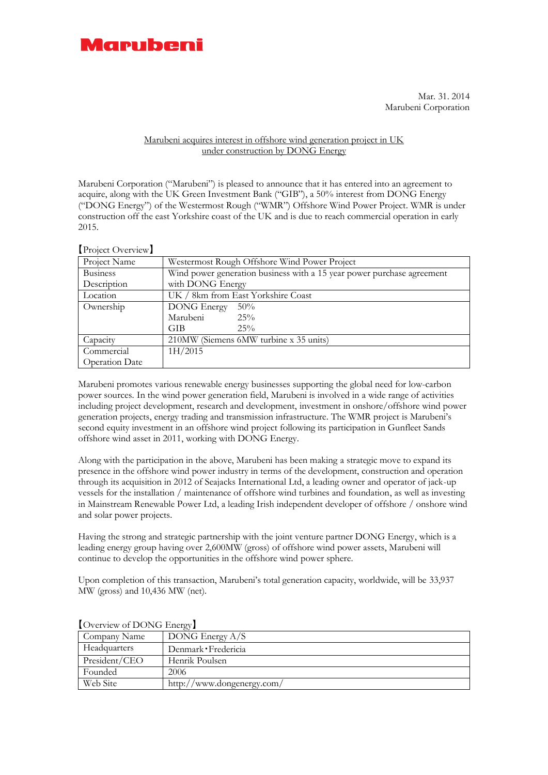

Mar. 31. 2014 Marubeni Corporation

## Marubeni acquires interest in offshore wind generation project in UK under construction by DONG Energy

Marubeni Corporation ("Marubeni") is pleased to announce that it has entered into an agreement to acquire, along with the UK Green Investment Bank ("GIB"), a 50% interest from DONG Energy ("DONG Energy") of the Westermost Rough ("WMR") Offshore Wind Power Project. WMR is under construction off the east Yorkshire coast of the UK and is due to reach commercial operation in early 2015.

| Project Overview      |                                                                        |
|-----------------------|------------------------------------------------------------------------|
| Project Name          | Westermost Rough Offshore Wind Power Project                           |
| <b>Business</b>       | Wind power generation business with a 15 year power purchase agreement |
| Description           | with DONG Energy                                                       |
| Location              | UK / 8km from East Yorkshire Coast                                     |
| Ownership             | <b>DONG</b> Energy<br>50%                                              |
|                       | Marubeni<br>25%                                                        |
|                       | <b>GIB</b><br>25%                                                      |
| Capacity              | 210MW (Siemens 6MW turbine x 35 units)                                 |
| Commercial            | 1H/2015                                                                |
| <b>Operation Date</b> |                                                                        |

Marubeni promotes various renewable energy businesses supporting the global need for low-carbon power sources. In the wind power generation field, Marubeni is involved in a wide range of activities including project development, research and development, investment in onshore/offshore wind power generation projects, energy trading and transmission infrastructure. The WMR project is Marubeni's second equity investment in an offshore wind project following its participation in Gunfleet Sands offshore wind asset in 2011, working with DONG Energy.

Along with the participation in the above, Marubeni has been making a strategic move to expand its presence in the offshore wind power industry in terms of the development, construction and operation through its acquisition in 2012 of Seajacks International Ltd, a leading owner and operator of jack-up vessels for the installation / maintenance of offshore wind turbines and foundation, as well as investing in Mainstream Renewable Power Ltd, a leading Irish independent developer of offshore / onshore wind and solar power projects.

Having the strong and strategic partnership with the joint venture partner DONG Energy, which is a leading energy group having over 2,600MW (gross) of offshore wind power assets, Marubeni will continue to develop the opportunities in the offshore wind power sphere.

Upon completion of this transaction, Marubeni's total generation capacity, worldwide, will be 33,937 MW (gross) and 10,436 MW (net).

| $\sim$ . The view of $D_{\rm O1}$ of $D_{\rm H1}$ and $\sim$ |                            |  |
|--------------------------------------------------------------|----------------------------|--|
| Company Name                                                 | DONG Energy $A/S$          |  |
| Headquarters                                                 | Denmark Fredericia         |  |
| President/CEO                                                | Henrik Poulsen             |  |
| Founded                                                      | 2006                       |  |
| Web Site                                                     | http://www.dongenergy.com/ |  |

【Overview of DONG Energy】